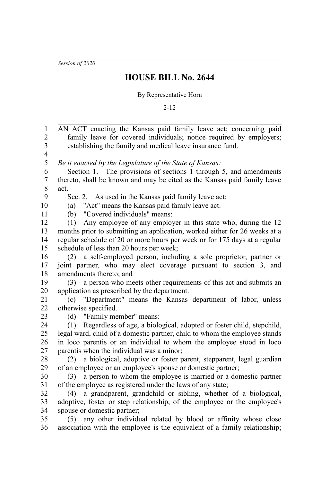*Session of 2020*

## **HOUSE BILL No. 2644**

## By Representative Horn

2-12

AN ACT enacting the Kansas paid family leave act; concerning paid family leave for covered individuals; notice required by employers; establishing the family and medical leave insurance fund. *Be it enacted by the Legislature of the State of Kansas:* Section 1. The provisions of sections 1 through 5, and amendments thereto, shall be known and may be cited as the Kansas paid family leave act. Sec. 2. As used in the Kansas paid family leave act: (a) "Act" means the Kansas paid family leave act. (b) "Covered individuals" means: (1) Any employee of any employer in this state who, during the 12 months prior to submitting an application, worked either for 26 weeks at a regular schedule of 20 or more hours per week or for 175 days at a regular schedule of less than 20 hours per week; (2) a self-employed person, including a sole proprietor, partner or joint partner, who may elect coverage pursuant to section 3, and amendments thereto; and (3) a person who meets other requirements of this act and submits an application as prescribed by the department. (c) "Department" means the Kansas department of labor, unless otherwise specified. (d) "Family member" means: (1) Regardless of age, a biological, adopted or foster child, stepchild, legal ward, child of a domestic partner, child to whom the employee stands in loco parentis or an individual to whom the employee stood in loco parentis when the individual was a minor; (2) a biological, adoptive or foster parent, stepparent, legal guardian of an employee or an employee's spouse or domestic partner; (3) a person to whom the employee is married or a domestic partner of the employee as registered under the laws of any state; (4) a grandparent, grandchild or sibling, whether of a biological, adoptive, foster or step relationship, of the employee or the employee's spouse or domestic partner; (5) any other individual related by blood or affinity whose close association with the employee is the equivalent of a family relationship; 1 2 3 4 5 6 7 8 9 10 11 12 13 14 15 16 17 18 19 20 21 22 23 24 25 26 27 28 29 30 31 32 33 34 35 36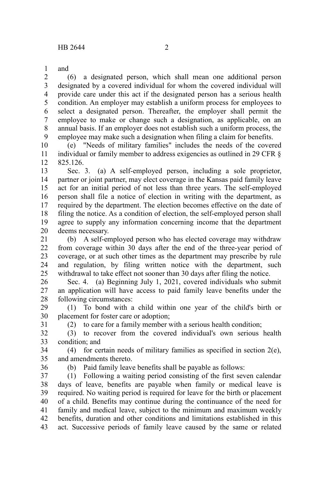and 1

(6) a designated person, which shall mean one additional person designated by a covered individual for whom the covered individual will provide care under this act if the designated person has a serious health condition. An employer may establish a uniform process for employees to select a designated person. Thereafter, the employer shall permit the employee to make or change such a designation, as applicable, on an annual basis. If an employer does not establish such a uniform process, the employee may make such a designation when filing a claim for benefits. 2 3 4 5 6 7 8 9

(e) "Needs of military families" includes the needs of the covered individual or family member to address exigencies as outlined in 29 CFR § 825.126. 10 11 12

Sec. 3. (a) A self-employed person, including a sole proprietor, partner or joint partner, may elect coverage in the Kansas paid family leave act for an initial period of not less than three years. The self-employed person shall file a notice of election in writing with the department, as required by the department. The election becomes effective on the date of filing the notice. As a condition of election, the self-employed person shall agree to supply any information concerning income that the department deems necessary. 13 14 15 16 17 18 19 20

(b) A self-employed person who has elected coverage may withdraw from coverage within 30 days after the end of the three-year period of coverage, or at such other times as the department may prescribe by rule and regulation, by filing written notice with the department, such withdrawal to take effect not sooner than 30 days after filing the notice. 21 22 23 24 25

Sec. 4. (a) Beginning July 1, 2021, covered individuals who submit an application will have access to paid family leave benefits under the following circumstances: 26 27 28

(1) To bond with a child within one year of the child's birth or placement for foster care or adoption; 29 30

31

(2) to care for a family member with a serious health condition;

(3) to recover from the covered individual's own serious health condition; and 32 33

(4) for certain needs of military families as specified in section  $2(e)$ , and amendments thereto. 34 35

36

(b) Paid family leave benefits shall be payable as follows:

(1) Following a waiting period consisting of the first seven calendar days of leave, benefits are payable when family or medical leave is required. No waiting period is required for leave for the birth or placement of a child. Benefits may continue during the continuance of the need for family and medical leave, subject to the minimum and maximum weekly benefits, duration and other conditions and limitations established in this act. Successive periods of family leave caused by the same or related 37 38 39 40 41 42 43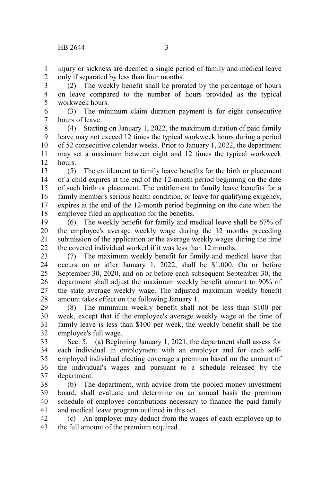injury or sickness are deemed a single period of family and medical leave only if separated by less than four months. 1 2

(2) The weekly benefit shall be prorated by the percentage of hours on leave compared to the number of hours provided as the typical workweek hours. 3 4 5

(3) The minimum claim duration payment is for eight consecutive hours of leave. 6 7

(4) Starting on January 1, 2022, the maximum duration of paid family leave may not exceed 12 times the typical workweek hours during a period of 52 consecutive calendar weeks. Prior to January 1, 2022, the department may set a maximum between eight and 12 times the typical workweek hours. 8 9 10 11 12

(5) The entitlement to family leave benefits for the birth or placement of a child expires at the end of the 12-month period beginning on the date of such birth or placement. The entitlement to family leave benefits for a family member's serious health condition, or leave for qualifying exigency, expires at the end of the 12-month period beginning on the date when the employee filed an application for the benefits. 13 14 15 16 17 18

(6) The weekly benefit for family and medical leave shall be 67% of the employee's average weekly wage during the 12 months preceding submission of the application or the average weekly wages during the time the covered individual worked if it was less than 12 months. 19 20 21 22

(7) The maximum weekly benefit for family and medical leave that occurs on or after January 1, 2022, shall be \$1,000. On or before September 30, 2020, and on or before each subsequent September 30, the department shall adjust the maximum weekly benefit amount to 90% of the state average weekly wage. The adjusted maximum weekly benefit amount takes effect on the following January 1. 23 24 25 26 27 28

(8) The minimum weekly benefit shall not be less than \$100 per week, except that if the employee's average weekly wage at the time of family leave is less than \$100 per week, the weekly benefit shall be the employee's full wage. 29 30 31 32

Sec. 5. (a) Beginning January 1, 2021, the department shall assess for each individual in employment with an employer and for each selfemployed individual electing coverage a premium based on the amount of the individual's wages and pursuant to a schedule released by the department. 33 34 35 36 37

(b) The department, with advice from the pooled money investment board, shall evaluate and determine on an annual basis the premium schedule of employee contributions necessary to finance the paid family and medical leave program outlined in this act. 38 39 40 41

(c) An employer may deduct from the wages of each employee up to the full amount of the premium required. 42 43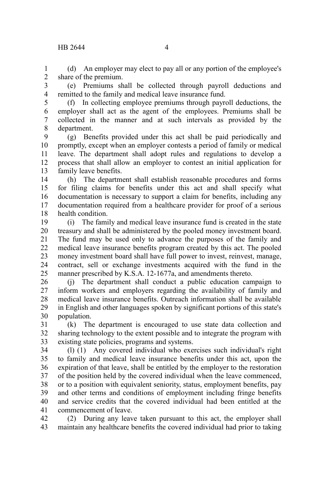(d) An employer may elect to pay all or any portion of the employee's share of the premium. 1 2

(e) Premiums shall be collected through payroll deductions and remitted to the family and medical leave insurance fund. 3 4

5

(f) In collecting employee premiums through payroll deductions, the employer shall act as the agent of the employees. Premiums shall be collected in the manner and at such intervals as provided by the department. 6 7 8

(g) Benefits provided under this act shall be paid periodically and promptly, except when an employer contests a period of family or medical leave. The department shall adopt rules and regulations to develop a process that shall allow an employer to contest an initial application for family leave benefits. 9 10 11 12 13

(h) The department shall establish reasonable procedures and forms for filing claims for benefits under this act and shall specify what documentation is necessary to support a claim for benefits, including any documentation required from a healthcare provider for proof of a serious health condition. 14 15 16 17 18

(i) The family and medical leave insurance fund is created in the state treasury and shall be administered by the pooled money investment board. The fund may be used only to advance the purposes of the family and medical leave insurance benefits program created by this act. The pooled money investment board shall have full power to invest, reinvest, manage, contract, sell or exchange investments acquired with the fund in the manner prescribed by K.S.A. 12-1677a, and amendments thereto. 19 20 21 22 23 24 25

(j) The department shall conduct a public education campaign to inform workers and employers regarding the availability of family and medical leave insurance benefits. Outreach information shall be available in English and other languages spoken by significant portions of this state's population. 26 27 28 29 30

(k) The department is encouraged to use state data collection and sharing technology to the extent possible and to integrate the program with existing state policies, programs and systems. 31 32 33

(l) (1) Any covered individual who exercises such individual's right to family and medical leave insurance benefits under this act, upon the expiration of that leave, shall be entitled by the employer to the restoration of the position held by the covered individual when the leave commenced, or to a position with equivalent seniority, status, employment benefits, pay and other terms and conditions of employment including fringe benefits and service credits that the covered individual had been entitled at the commencement of leave. 34 35 36 37 38 39 40 41

(2) During any leave taken pursuant to this act, the employer shall maintain any healthcare benefits the covered individual had prior to taking 42 43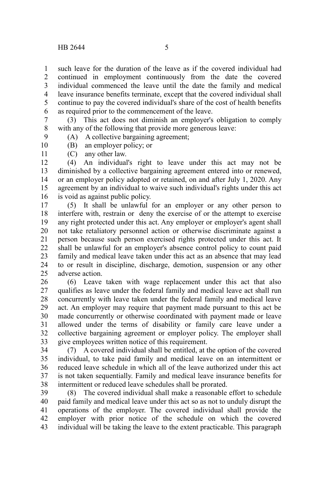such leave for the duration of the leave as if the covered individual had continued in employment continuously from the date the covered individual commenced the leave until the date the family and medical leave insurance benefits terminate, except that the covered individual shall continue to pay the covered individual's share of the cost of health benefits as required prior to the commencement of the leave. 1 2 3 4 5 6

(3) This act does not diminish an employer's obligation to comply with any of the following that provide more generous leave: 7 8 9

(A) A collective bargaining agreement;

(B) an employer policy; or

10 11

(C) any other law.

(4) An individual's right to leave under this act may not be diminished by a collective bargaining agreement entered into or renewed, or an employer policy adopted or retained, on and after July 1, 2020. Any agreement by an individual to waive such individual's rights under this act is void as against public policy. 12 13 14 15 16

(5) It shall be unlawful for an employer or any other person to interfere with, restrain or deny the exercise of or the attempt to exercise any right protected under this act. Any employer or employer's agent shall not take retaliatory personnel action or otherwise discriminate against a person because such person exercised rights protected under this act. It shall be unlawful for an employer's absence control policy to count paid family and medical leave taken under this act as an absence that may lead to or result in discipline, discharge, demotion, suspension or any other adverse action. 17 18 19 20 21 22 23 24 25

(6) Leave taken with wage replacement under this act that also qualifies as leave under the federal family and medical leave act shall run concurrently with leave taken under the federal family and medical leave act. An employer may require that payment made pursuant to this act be made concurrently or otherwise coordinated with payment made or leave allowed under the terms of disability or family care leave under a collective bargaining agreement or employer policy. The employer shall give employees written notice of this requirement. 26 27 28 29 30 31 32 33

(7) A covered individual shall be entitled, at the option of the covered individual, to take paid family and medical leave on an intermittent or reduced leave schedule in which all of the leave authorized under this act is not taken sequentially. Family and medical leave insurance benefits for intermittent or reduced leave schedules shall be prorated. 34 35 36 37 38

(8) The covered individual shall make a reasonable effort to schedule paid family and medical leave under this act so as not to unduly disrupt the operations of the employer. The covered individual shall provide the employer with prior notice of the schedule on which the covered individual will be taking the leave to the extent practicable. This paragraph 39 40 41 42 43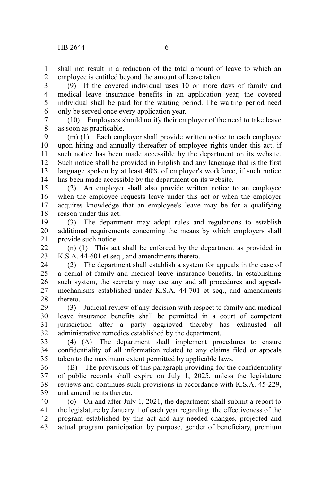shall not result in a reduction of the total amount of leave to which an employee is entitled beyond the amount of leave taken. 1 2

(9) If the covered individual uses 10 or more days of family and medical leave insurance benefits in an application year, the covered individual shall be paid for the waiting period. The waiting period need only be served once every application year. 3 4 5 6

(10) Employees should notify their employer of the need to take leave as soon as practicable. 7 8

(m) (1) Each employer shall provide written notice to each employee upon hiring and annually thereafter of employee rights under this act, if such notice has been made accessible by the department on its website. Such notice shall be provided in English and any language that is the first language spoken by at least 40% of employer's workforce, if such notice has been made accessible by the department on its website. 9 10 11 12 13 14

(2) An employer shall also provide written notice to an employee when the employee requests leave under this act or when the employer acquires knowledge that an employee's leave may be for a qualifying reason under this act. 15 16 17 18

(3) The department may adopt rules and regulations to establish additional requirements concerning the means by which employers shall provide such notice. 19 20 21

(n) (1) This act shall be enforced by the department as provided in K.S.A. 44-601 et seq., and amendments thereto. 22 23

(2) The department shall establish a system for appeals in the case of a denial of family and medical leave insurance benefits. In establishing such system, the secretary may use any and all procedures and appeals mechanisms established under K.S.A. 44-701 et seq., and amendments thereto. 24 25 26 27 28

(3) Judicial review of any decision with respect to family and medical leave insurance benefits shall be permitted in a court of competent jurisdiction after a party aggrieved thereby has exhausted all administrative remedies established by the department. 29 30 31 32

(4) (A) The department shall implement procedures to ensure confidentiality of all information related to any claims filed or appeals taken to the maximum extent permitted by applicable laws. 33 34 35

(B) The provisions of this paragraph providing for the confidentiality of public records shall expire on July 1, 2025, unless the legislature reviews and continues such provisions in accordance with K.S.A. 45-229, and amendments thereto. 36 37 38 39

(o) On and after July 1, 2021, the department shall submit a report to the legislature by January 1 of each year regarding the effectiveness of the program established by this act and any needed changes, projected and actual program participation by purpose, gender of beneficiary, premium 40 41 42 43